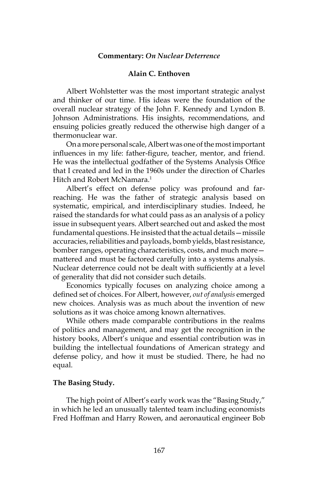### **Commentary:** *On Nuclear Deterrence*

## **Alain C. Enthoven**

Albert Wohlstetter was the most important strategic analyst and thinker of our time. His ideas were the foundation of the overall nuclear strategy of the John F. Kennedy and Lyndon B. Johnson Administrations. His insights, recommendations, and ensuing policies greatly reduced the otherwise high danger of a thermonuclear war.

On a more personal scale, Albert was one of the most important influences in my life: father-figure, teacher, mentor, and friend. He was the intellectual godfather of the Systems Analysis Office that I created and led in the 1960s under the direction of Charles Hitch and Robert McNamara.1

Albert's effect on defense policy was profound and farreaching. He was the father of strategic analysis based on systematic, empirical, and interdisciplinary studies. Indeed, he raised the standards for what could pass as an analysis of a policy issue in subsequent years. Albert searched out and asked the most fundamental questions. He insisted that the actual details—missile accuracies, reliabilities and payloads, bomb yields, blast resistance, bomber ranges, operating characteristics, costs, and much more mattered and must be factored carefully into a systems analysis. Nuclear deterrence could not be dealt with sufficiently at a level of generality that did not consider such details.

Economics typically focuses on analyzing choice among a defined set of choices. For Albert, however, *out of analysis* emerged new choices. Analysis was as much about the invention of new solutions as it was choice among known alternatives.

While others made comparable contributions in the realms of politics and management, and may get the recognition in the history books, Albert's unique and essential contribution was in building the intellectual foundations of American strategy and defense policy, and how it must be studied. There, he had no equal.

### **The Basing Study.**

The high point of Albert's early work was the "Basing Study," in which he led an unusually talented team including economists Fred Hoffman and Harry Rowen, and aeronautical engineer Bob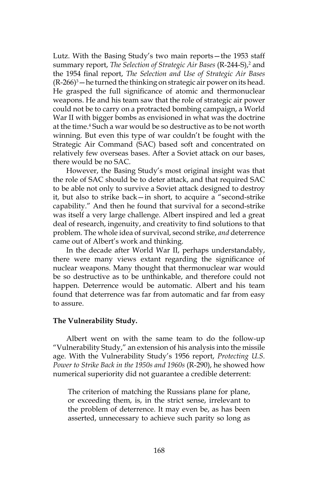Lutz. With the Basing Study's two main reports—the 1953 staff summary report, *The Selection of Strategic Air Bases* (R-244-S),<sup>2</sup> and the 1954 final report, *The Selection and Use of Strategic Air Bases*  $(R-266)^3$  – he turned the thinking on strategic air power on its head. He grasped the full significance of atomic and thermonuclear weapons. He and his team saw that the role of strategic air power could not be to carry on a protracted bombing campaign, a World War II with bigger bombs as envisioned in what was the doctrine at the time.4 Such a war would be so destructive as to be not worth winning. But even this type of war couldn't be fought with the Strategic Air Command (SAC) based soft and concentrated on relatively few overseas bases. After a Soviet attack on our bases, there would be no SAC.

However, the Basing Study's most original insight was that the role of SAC should be to deter attack, and that required SAC to be able not only to survive a Soviet attack designed to destroy it, but also to strike back—in short, to acquire a "second-strike capability." And then he found that survival for a second-strike was itself a very large challenge. Albert inspired and led a great deal of research, ingenuity, and creativity to find solutions to that problem. The whole idea of survival, second strike, *and* deterrence came out of Albert's work and thinking.

In the decade after World War II, perhaps understandably, there were many views extant regarding the significance of nuclear weapons. Many thought that thermonuclear war would be so destructive as to be unthinkable, and therefore could not happen. Deterrence would be automatic. Albert and his team found that deterrence was far from automatic and far from easy to assure.

## **The Vulnerability Study.**

Albert went on with the same team to do the follow-up "Vulnerability Study," an extension of his analysis into the missile age. With the Vulnerability Study's 1956 report, *Protecting U.S. Power to Strike Back in the 1950s and 1960s* (R-290), he showed how numerical superiority did not guarantee a credible deterrent:

The criterion of matching the Russians plane for plane, or exceeding them, is, in the strict sense, irrelevant to the problem of deterrence. It may even be, as has been asserted, unnecessary to achieve such parity so long as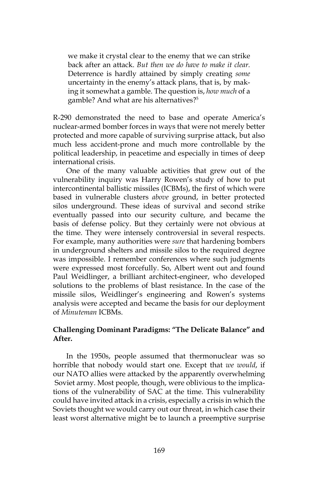we make it crystal clear to the enemy that we can strike back after an attack. *But then we do have to make it clear.*  Deterrence is hardly attained by simply creating *some*  uncertainty in the enemy's attack plans, that is, by making it somewhat a gamble. The question is, *how much* of a gamble? And what are his alternatives?5

R-290 demonstrated the need to base and operate America's nuclear-armed bomber forces in ways that were not merely better protected and more capable of surviving surprise attack, but also much less accident-prone and much more controllable by the political leadership, in peacetime and especially in times of deep international crisis.

One of the many valuable activities that grew out of the vulnerability inquiry was Harry Rowen's study of how to put intercontinental ballistic missiles (ICBMs), the first of which were based in vulnerable clusters *above* ground, in better protected silos underground. These ideas of survival and second strike eventually passed into our security culture, and became the basis of defense policy. But they certainly were not obvious at the time. They were intensely controversial in several respects. For example, many authorities were *sure* that hardening bombers in underground shelters and missile silos to the required degree was impossible. I remember conferences where such judgments were expressed most forcefully. So, Albert went out and found Paul Weidlinger, a brilliant architect-engineer, who developed solutions to the problems of blast resistance. In the case of the missile silos, Weidlinger's engineering and Rowen's systems analysis were accepted and became the basis for our deployment of *Minuteman* ICBMs.

# **Challenging Dominant Paradigms: "The Delicate Balance" and After.**

In the 1950s, people assumed that thermonuclear was so horrible that nobody would start one. Except that *we would*, if our NATO allies were attacked by the apparently overwhelming Soviet army. Most people, though, were oblivious to the implications of the vulnerability of SAC at the time. This vulnerability could have invited attack in a crisis, especially a crisis in which the Soviets thought we would carry out our threat, in which case their least worst alternative might be to launch a preemptive surprise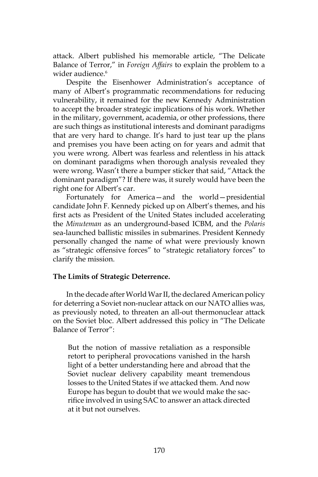attack. Albert published his memorable article, "The Delicate Balance of Terror," in *Foreign Affairs* to explain the problem to a wider audience.<sup>6</sup>

Despite the Eisenhower Administration's acceptance of many of Albert's programmatic recommendations for reducing vulnerability, it remained for the new Kennedy Administration to accept the broader strategic implications of his work. Whether in the military, government, academia, or other professions, there are such things as institutional interests and dominant paradigms that are very hard to change. It's hard to just tear up the plans and premises you have been acting on for years and admit that you were wrong. Albert was fearless and relentless in his attack on dominant paradigms when thorough analysis revealed they were wrong. Wasn't there a bumper sticker that said, "Attack the dominant paradigm"? If there was, it surely would have been the right one for Albert's car.

Fortunately for America—and the world—presidential candidate John F. Kennedy picked up on Albert's themes, and his first acts as President of the United States included accelerating the *Minuteman* as an underground-based ICBM, and the *Polaris*  sea-launched ballistic missiles in submarines. President Kennedy personally changed the name of what were previously known as "strategic offensive forces" to "strategic retaliatory forces" to clarify the mission.

## **The Limits of Strategic Deterrence.**

In the decade after World War II, the declared American policy for deterring a Soviet non-nuclear attack on our NATO allies was, as previously noted, to threaten an all-out thermonuclear attack on the Soviet bloc. Albert addressed this policy in "The Delicate Balance of Terror":

But the notion of massive retaliation as a responsible retort to peripheral provocations vanished in the harsh light of a better understanding here and abroad that the Soviet nuclear delivery capability meant tremendous losses to the United States if we attacked them. And now Europe has begun to doubt that we would make the sacrifice involved in using SAC to answer an attack directed at it but not ourselves.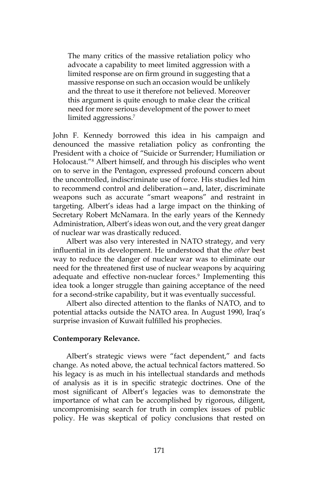The many critics of the massive retaliation policy who advocate a capability to meet limited aggression with a limited response are on firm ground in suggesting that a massive response on such an occasion would be unlikely and the threat to use it therefore not believed. Moreover this argument is quite enough to make clear the critical need for more serious development of the power to meet limited aggressions.7

John F. Kennedy borrowed this idea in his campaign and denounced the massive retaliation policy as confronting the President with a choice of "Suicide or Surrender; Humiliation or Holocaust."8 Albert himself, and through his disciples who went on to serve in the Pentagon, expressed profound concern about the uncontrolled, indiscriminate use of force. His studies led him to recommend control and deliberation—and, later, discriminate weapons such as accurate "smart weapons" and restraint in targeting. Albert's ideas had a large impact on the thinking of Secretary Robert McNamara. In the early years of the Kennedy Administration, Albert's ideas won out, and the very great danger of nuclear war was drastically reduced.

Albert was also very interested in NATO strategy, and very influential in its development. He understood that the *other* best way to reduce the danger of nuclear war was to eliminate our need for the threatened first use of nuclear weapons by acquiring adequate and effective non-nuclear forces.<sup>9</sup> Implementing this idea took a longer struggle than gaining acceptance of the need for a second-strike capability, but it was eventually successful.

Albert also directed attention to the flanks of NATO, and to potential attacks outside the NATO area. In August 1990, Iraq's surprise invasion of Kuwait fulfilled his prophecies.

## **Contemporary Relevance.**

Albert's strategic views were "fact dependent," and facts change. As noted above, the actual technical factors mattered. So his legacy is as much in his intellectual standards and methods of analysis as it is in specific strategic doctrines. One of the most significant of Albert's legacies was to demonstrate the importance of what can be accomplished by rigorous, diligent, uncompromising search for truth in complex issues of public policy. He was skeptical of policy conclusions that rested on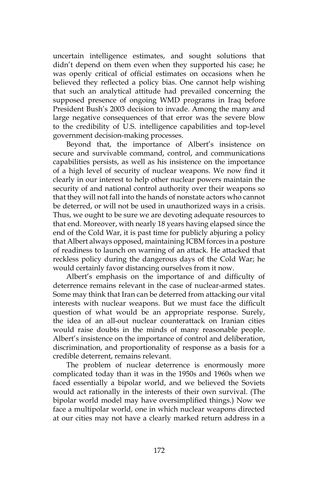uncertain intelligence estimates, and sought solutions that didn't depend on them even when they supported his case; he was openly critical of official estimates on occasions when he believed they reflected a policy bias. One cannot help wishing that such an analytical attitude had prevailed concerning the supposed presence of ongoing WMD programs in Iraq before President Bush's 2003 decision to invade. Among the many and large negative consequences of that error was the severe blow to the credibility of U.S. intelligence capabilities and top-level government decision-making processes.

Beyond that, the importance of Albert's insistence on secure and survivable command, control, and communications capabilities persists, as well as his insistence on the importance of a high level of security of nuclear weapons. We now find it clearly in our interest to help other nuclear powers maintain the security of and national control authority over their weapons so that they will not fall into the hands of nonstate actors who cannot be deterred, or will not be used in unauthorized ways in a crisis. Thus, we ought to be sure we are devoting adequate resources to that end. Moreover, with nearly 18 years having elapsed since the end of the Cold War, it is past time for publicly abjuring a policy that Albert always opposed, maintaining ICBM forces in a posture of readiness to launch on warning of an attack. He attacked that reckless policy during the dangerous days of the Cold War; he would certainly favor distancing ourselves from it now.

Albert's emphasis on the importance of and difficulty of deterrence remains relevant in the case of nuclear-armed states. Some may think that Iran can be deterred from attacking our vital interests with nuclear weapons. But we must face the difficult question of what would be an appropriate response. Surely, the idea of an all-out nuclear counterattack on Iranian cities would raise doubts in the minds of many reasonable people. Albert's insistence on the importance of control and deliberation, discrimination, and proportionality of response as a basis for a credible deterrent, remains relevant.

The problem of nuclear deterrence is enormously more complicated today than it was in the 1950s and 1960s when we faced essentially a bipolar world, and we believed the Soviets would act rationally in the interests of their own survival. (The bipolar world model may have oversimplified things.) Now we face a multipolar world, one in which nuclear weapons directed at our cities may not have a clearly marked return address in a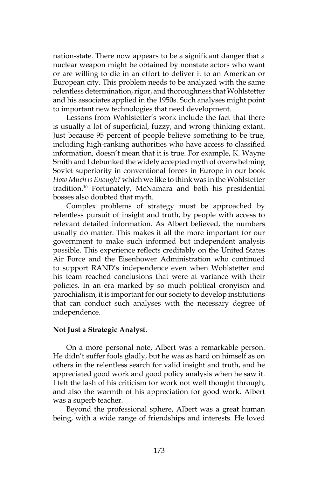nation-state. There now appears to be a significant danger that a nuclear weapon might be obtained by nonstate actors who want or are willing to die in an effort to deliver it to an American or European city. This problem needs to be analyzed with the same relentless determination, rigor, and thoroughness that Wohlstetter and his associates applied in the 1950s. Such analyses might point to important new technologies that need development.

Lessons from Wohlstetter's work include the fact that there is usually a lot of superficial, fuzzy, and wrong thinking extant. Just because 95 percent of people believe something to be true, including high-ranking authorities who have access to classified information, doesn't mean that it is true. For example, K. Wayne Smith and I debunked the widely accepted myth of overwhelming Soviet superiority in conventional forces in Europe in our book *How Much is Enough?* which we like to think was in the Wohlstetter tradition.10 Fortunately, McNamara and both his presidential bosses also doubted that myth.

Complex problems of strategy must be approached by relentless pursuit of insight and truth, by people with access to relevant detailed information. As Albert believed, the numbers usually do matter. This makes it all the more important for our government to make such informed but independent analysis possible. This experience reflects creditably on the United States Air Force and the Eisenhower Administration who continued to support RAND's independence even when Wohlstetter and his team reached conclusions that were at variance with their policies. In an era marked by so much political cronyism and parochialism, it is important for our society to develop institutions that can conduct such analyses with the necessary degree of independence.

## **Not Just a Strategic Analyst.**

On a more personal note, Albert was a remarkable person. He didn't suffer fools gladly, but he was as hard on himself as on others in the relentless search for valid insight and truth, and he appreciated good work and good policy analysis when he saw it. I felt the lash of his criticism for work not well thought through, and also the warmth of his appreciation for good work. Albert was a superb teacher.

Beyond the professional sphere, Albert was a great human being, with a wide range of friendships and interests. He loved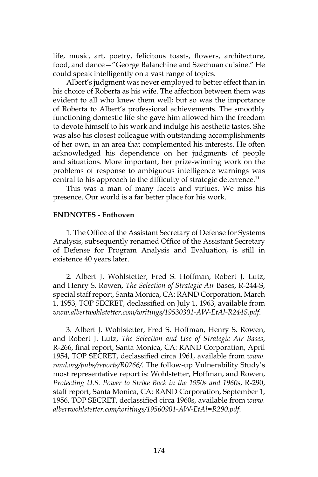life, music, art, poetry, felicitous toasts, flowers, architecture, food, and dance—"George Balanchine and Szechuan cuisine." He could speak intelligently on a vast range of topics.

Albert's judgment was never employed to better effect than in his choice of Roberta as his wife. The affection between them was evident to all who knew them well; but so was the importance of Roberta to Albert's professional achievements. The smoothly functioning domestic life she gave him allowed him the freedom to devote himself to his work and indulge his aesthetic tastes. She was also his closest colleague with outstanding accomplishments of her own, in an area that complemented his interests. He often acknowledged his dependence on her judgments of people and situations. More important, her prize-winning work on the problems of response to ambiguous intelligence warnings was central to his approach to the difficulty of strategic deterrence.<sup>11</sup>

This was a man of many facets and virtues. We miss his presence. Our world is a far better place for his work.

## **ENDNOTES - Enthoven**

1. The Office of the Assistant Secretary of Defense for Systems Analysis, subsequently renamed Office of the Assistant Secretary of Defense for Program Analysis and Evaluation, is still in existence 40 years later.

2. Albert J. Wohlstetter, Fred S. Hoffman, Robert J. Lutz, and Henry S. Rowen, *The Selection of Strategic Air* Bases, R-244-S, special staff report, Santa Monica, CA: RAND Corporation, March 1, 1953, TOP SECRET, declassified on July 1, 1963, available from *www.albertwohlstetter.com/writings/19530301-AW-EtAl-R244S.pdf*.

3. Albert J. Wohlstetter, Fred S. Hoffman, Henry S. Rowen, and Robert J. Lutz, *The Selection and Use of Strategic Air Bases*, R-266, final report, Santa Monica, CA: RAND Corporation, April 1954, TOP SECRET, declassified circa 1961, available from *www. rand.org/pubs/reports/R0266/.* The follow-up Vulnerability Study's most representative report is: Wohlstetter, Hoffman, and Rowen, *Protecting U.S. Power to Strike Back in the 1950s and 1960s*, R-290, staff report, Santa Monica, CA: RAND Corporation, September 1, 1956, TOP SECRET, declassified circa 1960s, available from *www. albertwohlstetter.com/writings/19560901-AW-EtAl=R290.pdf*.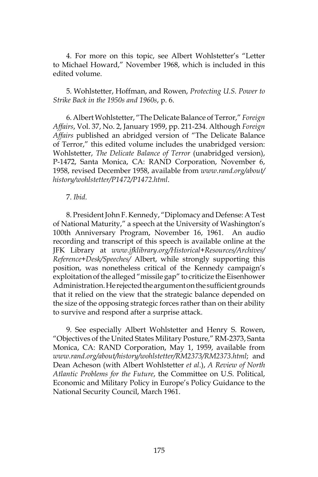4. For more on this topic, see Albert Wohlstetter's "Letter to Michael Howard," November 1968, which is included in this edited volume.

5. Wohlstetter, Hoffman, and Rowen, *Protecting U.S. Power to Strike Back in the 1950s and 1960s*, p. 6.

6. Albert Wohlstetter, "The Delicate Balance of Terror," *Foreign Affairs*, Vol. 37, No. 2, January 1959, pp. 211-234. Although *Foreign Affairs* published an abridged version of "The Delicate Balance of Terror," this edited volume includes the unabridged version: Wohlstetter, *The Delicate Balance of Terror* (unabridged version), P-1472, Santa Monica, CA: RAND Corporation, November 6, 1958, revised December 1958, available from *www.rand.org/about/ history/wohlstetter/P1472/P1472.html*.

7. *Ibid*.

8. President John F. Kennedy, "Diplomacy and Defense: A Test of National Maturity," a speech at the University of Washington's 100th Anniversary Program, November 16, 1961. An audio recording and transcript of this speech is available online at the JFK Library at *www.jfklibrary.org/Historical+Resources/Archives/ Reference+Desk/Speeches/* Albert, while strongly supporting this position, was nonetheless critical of the Kennedy campaign's exploitation of the alleged "missile gap" to criticize the Eisenhower Administration. He rejected the argument on the sufficient grounds that it relied on the view that the strategic balance depended on the size of the opposing strategic forces rather than on their ability to survive and respond after a surprise attack.

9. See especially Albert Wohlstetter and Henry S. Rowen, "Objectives of the United States Military Posture," RM-2373, Santa Monica, CA: RAND Corporation, May 1, 1959, available from *www.rand.org/about/history/wohlstetter/RM2373/RM2373.html*; and Dean Acheson (with Albert Wohlstetter *et al*.), *A Review of North Atlantic Problems for the Future*, the Committee on U.S. Political, Economic and Military Policy in Europe's Policy Guidance to the National Security Council, March 1961.